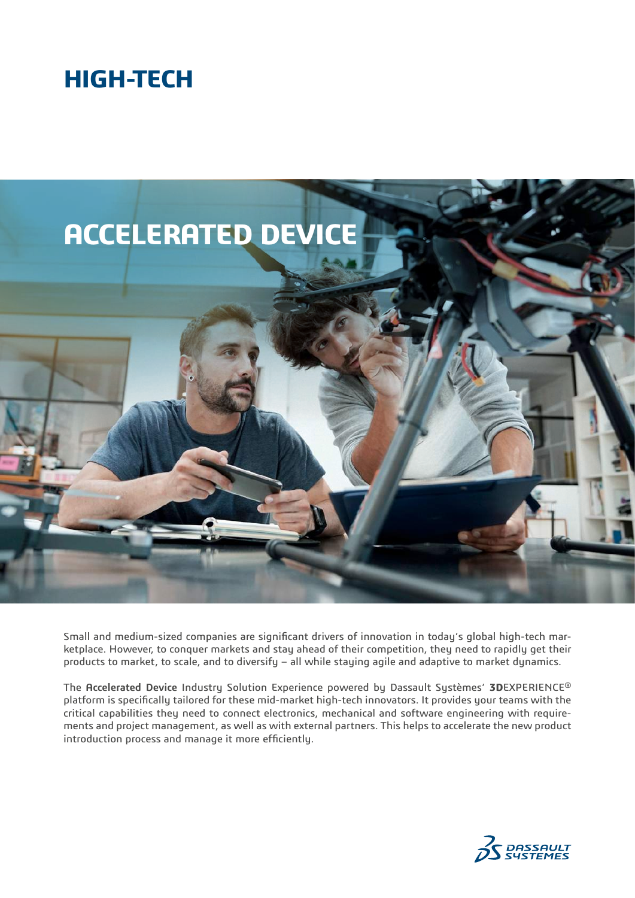# **HIGH-TECH**



Small and medium-sized companies are significant drivers of innovation in today's global high-tech marketplace. However, to conquer markets and stay ahead of their competition, they need to rapidly get their products to market, to scale, and to diversify – all while staying agile and adaptive to market dynamics.

The **Accelerated Device** Industry Solution Experience powered by Dassault Systèmes' **3D**EXPERIENCE® platform is specifically tailored for these mid-market high-tech innovators. It provides your teams with the critical capabilities they need to connect electronics, mechanical and software engineering with requirements and project management, as well as with external partners. This helps to accelerate the new product introduction process and manage it more efficiently.